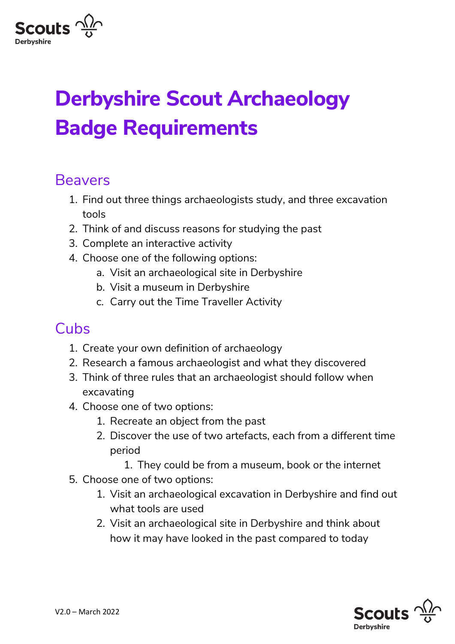

# **Derbyshire Scout Archaeology Badge Requirements**

#### Beavers

- 1. Find out three things archaeologists study, and three excavation tools
- 2. Think of and discuss reasons for studying the past
- 3. Complete an interactive activity
- 4. Choose one of the following options:
	- a. Visit an archaeological site in Derbyshire
	- b. Visit a museum in Derbyshire
	- c. Carry out the Time Traveller Activity

#### Cubs

- 1. Create your own definition of archaeology
- 2. Research a famous archaeologist and what they discovered
- 3. Think of three rules that an archaeologist should follow when excavating
- 4. Choose one of two options:
	- 1. Recreate an object from the past
	- 2. Discover the use of two artefacts, each from a different time period
		- 1. They could be from a museum, book or the internet
- 5. Choose one of two options:
	- 1. Visit an archaeological excavation in Derbyshire and find out what tools are used
	- 2. Visit an archaeological site in Derbyshire and think about how it may have looked in the past compared to today

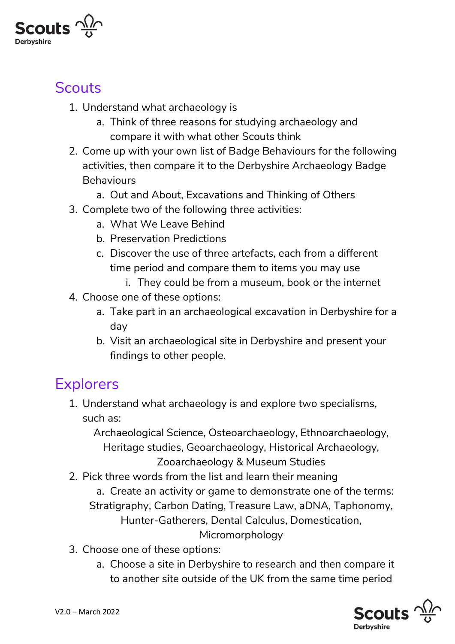

## **Scouts**

- 1. Understand what archaeology is
	- a. Think of three reasons for studying archaeology and compare it with what other Scouts think
- 2. Come up with your own list of Badge Behaviours for the following activities, then compare it to the Derbyshire Archaeology Badge **Behaviours** 
	- a. Out and About, Excavations and Thinking of Others
- 3. Complete two of the following three activities:
	- a. What We Leave Behind
	- b. Preservation Predictions
	- c. Discover the use of three artefacts, each from a different time period and compare them to items you may use
		- i. They could be from a museum, book or the internet
- 4. Choose one of these options:
	- a. Take part in an archaeological excavation in Derbyshire for a day
	- b. Visit an archaeological site in Derbyshire and present your findings to other people.

## **Explorers**

1. Understand what archaeology is and explore two specialisms, such as:

Archaeological Science, Osteoarchaeology, Ethnoarchaeology, Heritage studies, Geoarchaeology, Historical Archaeology, Zooarchaeology & Museum Studies

2. Pick three words from the list and learn their meaning

a. Create an activity or game to demonstrate one of the terms: Stratigraphy, Carbon Dating, Treasure Law, aDNA, Taphonomy, Hunter-Gatherers, Dental Calculus, Domestication, Micromorphology

- 3. Choose one of these options:
	- a. Choose a site in Derbyshire to research and then compare it to another site outside of the UK from the same time period